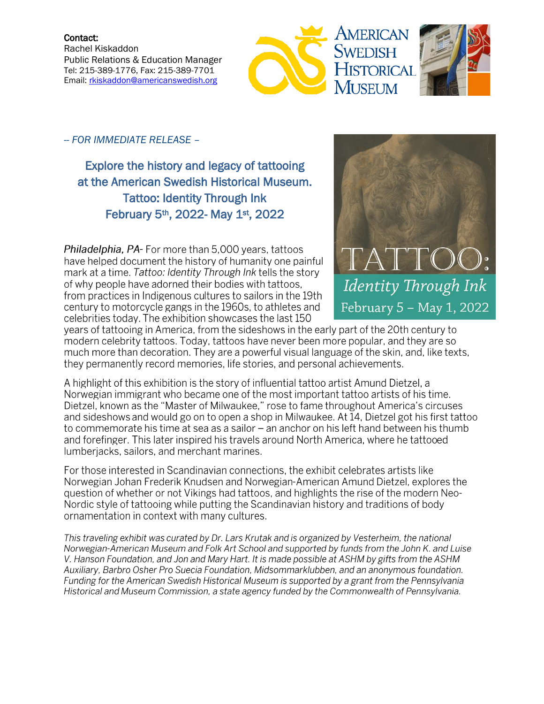Contact: Rachel Kiskaddon Public Relations & Education Manager Tel: 215-389-1776, Fax: 215-389-7701 Email: [rkiskaddon@americanswedish.org](mailto:rkiskaddon@americanswedish.org)





-- *FOR IMMEDIATE RELEASE* –

Explore the history and legacy of tattooing at the American Swedish Historical Museum. Tattoo: Identity Through Ink February 5th, 2022- May 1st, 2022

Philadelphia, PA- For more than 5,000 years, tattoos have helped document the history of humanity one painful mark at a time. Tattoo: Identity Through Ink tells the story of why people have adorned their bodies with tattoos, from practices in Indigenous cultures to sailors in the 19th century to motorcycle gangs in the 1960s, to athletes and celebrities today. The exhibition showcases the last 150



years of tattooing in America, from the sideshows in the early part of the 20th century to modern celebrity tattoos. Today, tattoos have never been more popular, and they are so much more than decoration. They are a powerful visual language of the skin, and, like texts, they permanently record memories, life stories, and personal achievements.

A highlight of this exhibition is the story of influential tattoo artist Amund Dietzel, a Norwegian immigrant who became one of the most important tattoo artists of his time. Dietzel, known as the "Master of Milwaukee," rose to fame throughout America's circuses and sideshows and would go on to open a shop in Milwaukee. At 14, Dietzel got his first tattoo to commemorate his time at sea as a sailor – an anchor on his left hand between his thumb and forefinger. This later inspired his travels around North America, where he tattooed lumberjacks, sailors, and merchant marines.

For those interested in Scandinavian connections, the exhibit celebrates artists like Norwegian Johan Frederik Knudsen and Norwegian-American Amund Dietzel, explores the question of whether or not Vikings had tattoos, and highlights the rise of the modern Neo-Nordic style of tattooing while putting the Scandinavian history and traditions of body ornamentation in context with many cultures.

This traveling exhibit was curated by Dr. Lars Krutak and is organized by Vesterheim, the national Norwegian-American Museum and Folk Art School and supported by funds from the John K. and Luise V. Hanson Foundation, and Jon and Mary Hart. It is made possible at ASHM by gifts from the ASHM Auxiliary, Barbro Osher Pro Suecia Foundation, Midsommarklubben, and an anonymous foundation. Funding for the American Swedish Historical Museum is supported by a grant from the Pennsylvania Historical and Museum Commission, a state agency funded by the Commonwealth of Pennsylvania.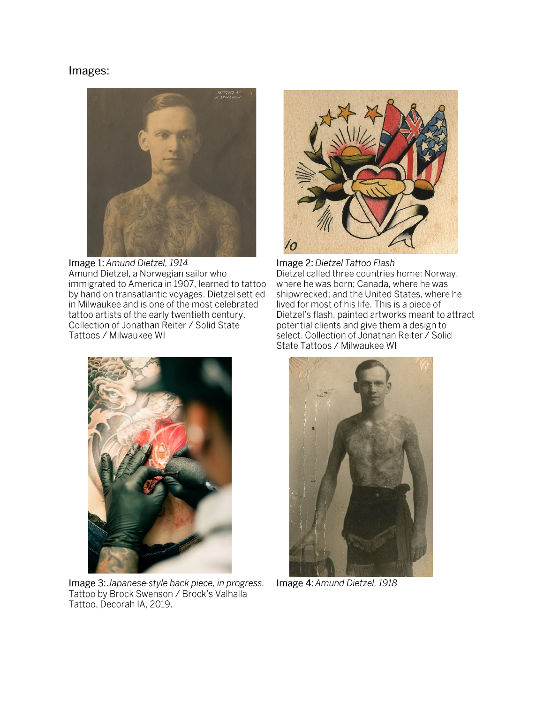# Images:



Image 1: Amund Dietzel, 1914 Amund Dietzel, a Norwegian sailor who immigrated to America in 1907, learned to tattoo by hand on transatlantic voyages. Dietzel settled in Milwaukee and is one of the most celebrated tattoo artists of the early twentieth century. Collection of Jonathan Reiter / Solid State Tattoos / Milwaukee WI



Image 2: Dietzel Tattoo Flash Dietzel called three countries home: Norway, where he was born; Canada, where he was shipwrecked; and the United States, where he lived for most of his life. This is a piece of Dietzel's flash, painted artworks meant to attract potential clients and give them a design to select. Collection of Jonathan Reiter / Solid State Tattoos / Milwaukee WI



Image 3: Japanese-style back piece, in progress. Tattoo by Brock Swenson / Brock's Valhalla Tattoo, Decorah IA, 2019.



Image 4: Amund Dietzel, 1918